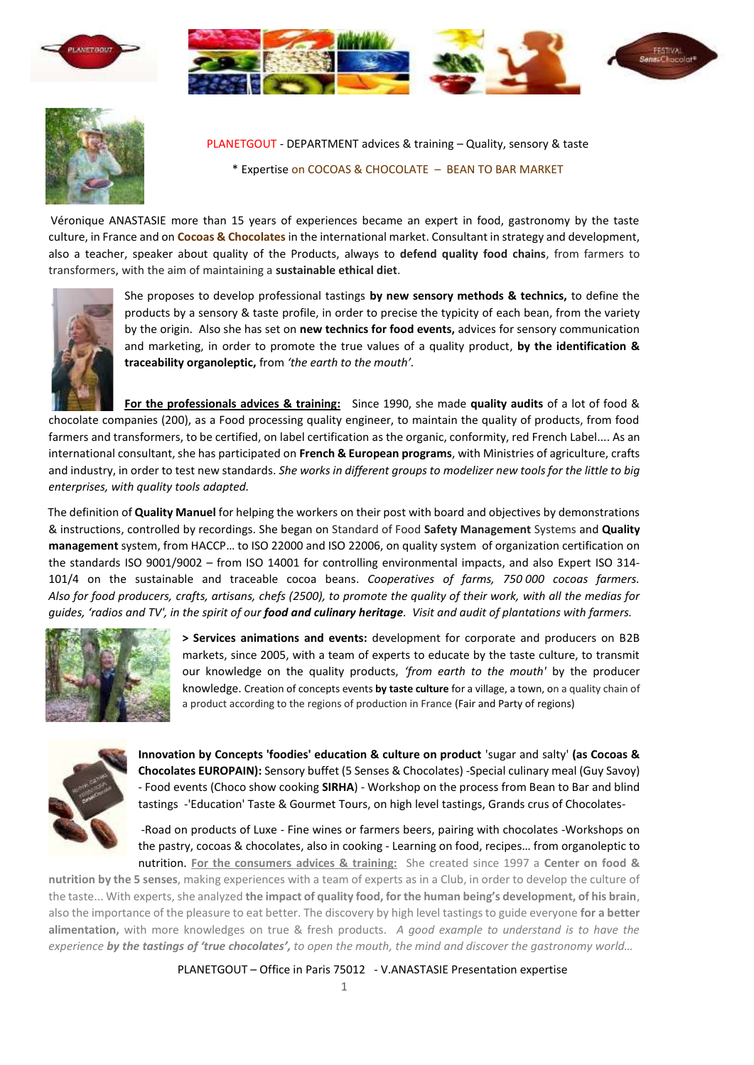





PLANETGOUT - DEPARTMENT advices & training – Quality, sensory & taste \* Expertise on COCOAS & CHOCOLATE – BEAN TO BAR MARKET

Véronique ANASTASIE more than 15 years of experiences became an expert in food, gastronomy by the taste culture, in France and on **Cocoas & Chocolates** in the international market. Consultant in strategy and development, also a teacher, speaker about quality of the Products, always to **defend quality food chains**, from farmers to transformers, with the aim of maintaining a **sustainable ethical diet**.



She proposes to develop professional tastings **by new sensory methods & technics,** to define the products by a sensory & taste profile, in order to precise the typicity of each bean, from the variety by the origin. Also she has set on **new technics for food events,** advices for sensory communication and marketing, in order to promote the true values of a quality product, **by the identification & traceability organoleptic,** from *'the earth to the mouth'.* 

**For the professionals advices & training:** Since 1990, she made **quality audits** of a lot of food & chocolate companies (200), as a Food processing quality engineer, to maintain the quality of products, from food farmers and transformers, to be certified, on label certification as the organic, conformity, red French Label.... As an international consultant, she has participated on **French & European programs**, with Ministries of agriculture, crafts and industry, in order to test new standards. *She works in different groups to modelizer new tools for the little to big enterprises, with quality tools adapted.*

The definition of **Quality Manuel** for helping the workers on their post with board and objectives by demonstrations & instructions, controlled by recordings. She began on Standard of Food **Safety Management** Systems and **Quality management** system, from HACCP… to ISO 22000 and ISO 22006, on quality system of organization certification on the standards ISO 9001/9002 – from ISO 14001 for controlling environmental impacts, and also Expert ISO 314- 101/4 on the sustainable and traceable cocoa beans. *Cooperatives of farms, 750 000 cocoas farmers. Also for food producers, crafts, artisans, chefs (2500), to promote the quality of their work, with all the medias for guides, 'radios and TV', in the spirit of our food and culinary heritage. Visit and audit of plantations with farmers.*



**> Services animations and events:** development for corporate and producers on B2B markets, since 2005, with a team of experts to educate by the taste culture, to transmit our knowledge on the quality products, *'from earth to the mouth'* by the producer knowledge. Creation of concepts events **by taste culture** for a village, a town, on a quality chain of a product according to the regions of production in France (Fair and Party of regions)



**Innovation by Concepts 'foodies' education & culture on product** 'sugar and salty' **(as Cocoas & Chocolates EUROPAIN):** Sensory buffet (5 Senses & Chocolates) -Special culinary meal (Guy Savoy) - Food events (Choco show cooking **SIRHA**) - Workshop on the process from Bean to Bar and blind tastings -'Education' Taste & Gourmet Tours, on high level tastings, Grands crus of Chocolates-

-Road on products of Luxe - Fine wines or farmers beers, pairing with chocolates -Workshops on the pastry, cocoas & chocolates, also in cooking - Learning on food, recipes… from organoleptic to nutrition. **For the consumers advices & training:** She created since 1997 a **Center on food &** 

**nutrition by the 5 senses**, making experiences with a team of experts as in a Club, in order to develop the culture of the taste... With experts, she analyzed **the impact of quality food, for the human being's development, of his brain**, also the importance of the pleasure to eat better. The discovery by high level tastings to guide everyone **for a better alimentation,** with more knowledges on true & fresh products. *A good example to understand is to have the experience by the tastings of 'true chocolates', to open the mouth, the mind and discover the gastronomy world…*

PLANETGOUT – Office in Paris 75012 - V.ANASTASIE Presentation expertise